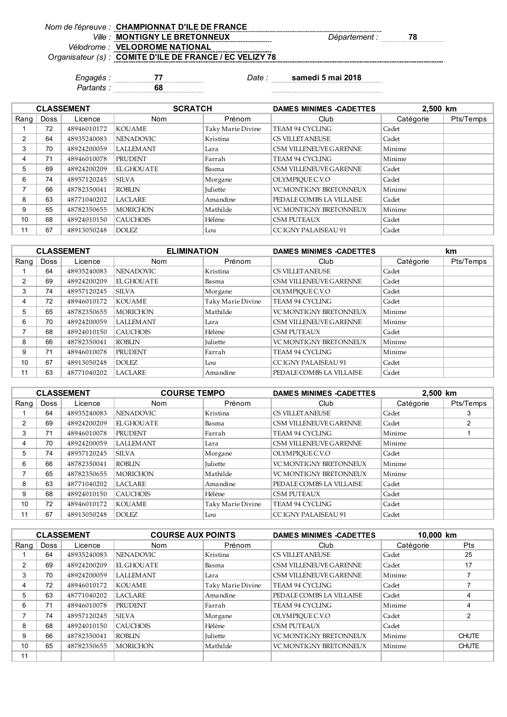## *Nom de l'épreuve : Ville : Département :* **78 MONTIGNY LE BRETONNEUX** *Vélodrome :* **VELODROME NATIONAL** *Organisateur (s) :* **COMITE D'ILE DE FRANCE / EC VELIZY 78 CHAMPIONNAT D'ILE DE FRANCE**

*Engagés :* **77** *Date :* **samedi 5 mai 2018**

*Partants :* **68**

 $\begin{minipage}{0.9\linewidth} \begin{tabular}{l} \hline \textbf{r} & \textbf{r} & \textbf{r} & \textbf{r} & \textbf{r} & \textbf{r} & \textbf{r} & \textbf{r} & \textbf{r} & \textbf{r} & \textbf{r} & \textbf{r} & \textbf{r} & \textbf{r} & \textbf{r} & \textbf{r} & \textbf{r} & \textbf{r} & \textbf{r} & \textbf{r} & \textbf{r} & \textbf{r} & \textbf{r} & \textbf{r} & \textbf{r} & \textbf{r} & \textbf{r} & \textbf{r} &$ 

|                |      | <b>CLASSEMENT</b> | <b>SCRATCH</b>   |                   | <b>DAMES MINIMES -CADETTES</b> | 2,500 km  |           |
|----------------|------|-------------------|------------------|-------------------|--------------------------------|-----------|-----------|
| Rang           | Doss | Licence           | <b>Nom</b>       | Prénom            | Club                           | Catégorie | Pts/Temps |
|                | 72   | 48946010172       | <b>KOUAME</b>    | Taky Marie Divine | TEAM 94 CYCLING                | Cadet     |           |
| $\overline{2}$ | 64   | 48935240083       | <b>NENADOVIC</b> | Kristina          | CS VILLET ANEUSE               | Cadet     |           |
| 3              | 70   | 48924200059       | <b>LALLEMANT</b> | Lara              | CSM VILLENEUVE GARENNE         | Minime    |           |
| 4              | 71   | 48946010078       | <b>PRUDENT</b>   | Farrah            | TEAM 94 CYCLING                | Minime    |           |
| 5              | 69   | 48924200209       | EL GHOUATE       | Basma             | CSM VILLENEUVE GARENNE         | Cadet     |           |
| 6              | 74   | 48957120245       | <b>SILVA</b>     | Morgane           | OLYMPIOUE C.V.O                | Cadet     |           |
|                | 66   | 48782350041       | <b>ROBLIN</b>    | <b>Juliette</b>   | <b>VC MONTIGNY BRETONNEUX</b>  | Minime    |           |
| 8              | 63   | 48771040202       | <b>LACLARE</b>   | Amandine          | PEDALE COMBS LA VILLAISE       | Cadet     |           |
| 9              | 65   | 48782350655       | <b>MORICHON</b>  | Mathilde          | <b>VC MONTIGNY BRETONNEUX</b>  | Minime    |           |
| 10             | 68   | 48924010150       | <b>CAUCHOIS</b>  | Hélène            | <b>CSM PUTEAUX</b>             | Cadet     |           |
| 11             | 67   | 48913050248       | DOLEZ.           | Lou               | CC IGNY PALAISEAU 91           | Cadet     |           |

|      |      | <b>CLASSEMENT</b> | <b>ELIMINATION</b> |                   | <b>DAMES MINIMES -CADETTES</b> |           | km        |
|------|------|-------------------|--------------------|-------------------|--------------------------------|-----------|-----------|
| Rang | Doss | Licence           | <b>Nom</b>         | Prénom            | Club                           | Catégorie | Pts/Temps |
|      | 64   | 48935240083       | <b>NENADOVIC</b>   | Kristina          | CS VILLET ANEUSE               | Cadet     |           |
| 2    | 69   | 48924200209       | <b>EL GHOUATE</b>  | Basma             | CSM VILLENEUVE GARENNE         | Cadet     |           |
| 3    | 74   | 48957120245       | ISILVA.            | Morgane           | OLYMPIOUE C.V.O                | Cadet     |           |
| 4    | 72   | 48946010172       | <b>KOUAME</b>      | Taky Marie Divine | TEAM 94 CYCLING                | Cadet     |           |
| 5    | 65   | 48782350655       | <b>MORICHON</b>    | Mathilde          | VC MONTIGNY BRETONNEUX         | Minime    |           |
| 6    | 70   | 48924200059       | <b>LALLEMANT</b>   | Lara              | CSM VILLENEUVE GARENNE         | Minime    |           |
|      | 68   | 48924010150       | <b>CAUCHOIS</b>    | Hélène            | <b>CSM PUTEAUX</b>             | Cadet     |           |
| 8    | 66   | 48782350041       | <b>ROBLIN</b>      | <b>Juliette</b>   | <b>VC MONTIGNY BRETONNEUX</b>  | Minime    |           |
| 9    | 71   | 48946010078       | <b>PRUDENT</b>     | Farrah            | TEAM 94 CYCLING                | Minime    |           |
| 10   | 67   | 48913050248       | <b>DOLEZ</b>       | Lou               | CC IGNY PALAISEAU 91           | Cadet     |           |
| 11   | 63   | 48771040202       | <b>LACLARE</b>     | Amandine          | PEDALE COMBS LA VILLAISE       | Cadet     |           |

|      |             | <b>CLASSEMENT</b> | <b>COURSE TEMPO</b> |                   | <b>DAMES MINIMES -CADETTES</b> | 2,500 km  |           |
|------|-------------|-------------------|---------------------|-------------------|--------------------------------|-----------|-----------|
| Rang | <b>Doss</b> | Licence           | Nom                 | Prénom            | Club                           | Catégorie | Pts/Temps |
|      | 64          | 48935240083       | <b>NENADOVIC</b>    | Kristina          | <b>CS VILLET ANEUSE</b>        | Cadet     | 3         |
| 2    | 69          | 48924200209       | <b>EL GHOUATE</b>   | Basma             | CSM VILLENEUVE GARENNE         | Cadet     | 2         |
| 3    | 71          | 48946010078       | <b>PRUDENT</b>      | Farrah            | TEAM 94 CYCLING                | Minime    |           |
| 4    | 70          | 48924200059       | <b>LALLEMANT</b>    | Lara              | CSM VILLENEUVE GARENNE         | Minime    |           |
| 5    | 74          | 48957120245       | <b>SILVA</b>        | Morgane           | OLYMPIOUE C.V.O                | Cadet     |           |
| 6    | 66          | 48782350041       | <b>ROBLIN</b>       | <b>Iuliette</b>   | VC MONTIGNY BRETONNEUX         | Minime    |           |
|      | 65          | 48782350655       | <b>MORICHON</b>     | Mathilde          | <b>VC MONTIGNY BRETONNEUX</b>  | Minime    |           |
| 8    | 63          | 48771040202       | <b>LACLARE</b>      | Amandine          | PEDALE COMBS LA VILLAISE       | Cadet     |           |
| 9    | 68          | 48924010150       | <b>CAUCHOIS</b>     | Hélène            | <b>CSM PUTEAUX</b>             | Cadet     |           |
| 10   | 72          | 48946010172       | KOUAME              | Taky Marie Divine | TEAM 94 CYCLING                | Cadet     |           |
| 11   | 67          | 48913050248       | <b>DOLEZ</b>        | Lou               | CC IGNY PALAISEAU 91           | Cadet     |           |

|      | <b>CLASSEMENT</b> |             | <b>COURSE AUX POINTS</b> |                   | <b>DAMES MINIMES -CADETTES</b> | 10,000 km |                |
|------|-------------------|-------------|--------------------------|-------------------|--------------------------------|-----------|----------------|
| Rang | <b>Doss</b>       | Licence     | <b>Nom</b>               | Prénom            | Club                           | Catégorie | <b>Pts</b>     |
|      | 64                | 48935240083 | <b>NENADOVIC</b>         | Kristina          | <b>CS VILLET ANEUSE</b>        | Cadet     | 25             |
| 2    | 69                | 48924200209 | <b>EL GHOUATE</b>        | Basma             | CSM VILLENEUVE GARENNE         | Cadet     | 17             |
| 3    | 70                | 48924200059 | <b>LALLEMANT</b>         | Lara              | CSM VILLENEUVE GARENNE         | Minime    |                |
| 4    | 72                | 48946010172 | <b>KOUAME</b>            | Taky Marie Divine | TEAM 94 CYCLING                | Cadet     |                |
| 5    | 63                | 48771040202 | <b>LACLARE</b>           | Amandine          | PEDALE COMBS LA VILLAISE       | Cadet     | 4              |
| 6    | 71                | 48946010078 | <b>PRUDENT</b>           | Farrah            | TEAM 94 CYCLING                | Minime    | 4              |
|      | 74                | 48957120245 | <b>SILVA</b>             | Morgane           | OLYMPIOUE C.V.O                | Cadet     | $\overline{2}$ |
| 8    | 68                | 48924010150 | <b>CAUCHOIS</b>          | Hélène            | <b>CSM PUTEAUX</b>             | Cadet     |                |
| 9    | 66                | 48782350041 | <b>ROBLIN</b>            | <b>Juliette</b>   | <b>VC MONTIGNY BRETONNEUX</b>  | Minime    | <b>CHUTE</b>   |
| 10   | 65                | 48782350655 | <b>MORICHON</b>          | Mathilde          | <b>VC MONTIGNY BRETONNEUX</b>  | Minime    | <b>CHUTE</b>   |
| 11   |                   |             |                          |                   |                                |           |                |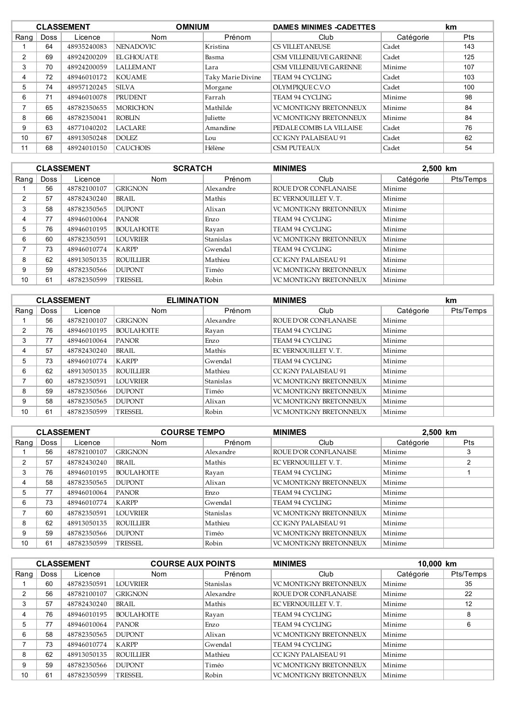|      | <b>CLASSEMENT</b> |             |                   | <b>OMNIUM</b><br><b>DAMES MINIMES -CADETTES</b> |                               | km        |     |
|------|-------------------|-------------|-------------------|-------------------------------------------------|-------------------------------|-----------|-----|
| Rang | Doss              | Licence     | <b>Nom</b>        | Prénom                                          | Club                          | Catégorie | Pts |
|      | 64                | 48935240083 | <b>NENADOVIC</b>  | Kristina                                        | <b>CS VILLET ANEUSE</b>       | Cadet     | 143 |
| 2    | 69                | 48924200209 | <b>EL GHOUATE</b> | Basma                                           | CSM VILLENEUVE GARENNE        | Cadet     | 125 |
| 3    | 70                | 48924200059 | <b>LALLEMANT</b>  | Lara                                            | CSM VILLENEUVE GARENNE        | Minime    | 107 |
| 4    | 72                | 48946010172 | KOUAME            | Taky Marie Divine                               | TEAM 94 CYCLING               | Cadet     | 103 |
| 5    | 74                | 48957120245 | <b>SILVA</b>      | Morgane                                         | OLYMPIOUE C.V.O               | Cadet     | 100 |
| 6    | 71                | 48946010078 | <b>PRUDENT</b>    | Farrah                                          | TEAM 94 CYCLING               | Minime    | 98  |
|      | 65                | 48782350655 | <b>MORICHON</b>   | Mathilde                                        | <b>VC MONTIGNY BRETONNEUX</b> | Minime    | 84  |
| 8    | 66                | 48782350041 | ROBLIN            | <b>Juliette</b>                                 | <b>VC MONTIGNY BRETONNEUX</b> | Minime    | 84  |
| 9    | 63                | 48771040202 | <b>LACLARE</b>    | Amandine                                        | PEDALE COMBS LA VILLAISE      | Cadet     | 76  |
| 10   | 67                | 48913050248 | <b>DOLEZ</b>      | Lou                                             | CC IGNY PALAISEAU 91          | Cadet     | 62  |
| 11   | 68                | 48924010150 | <b>CAUCHOIS</b>   | Hélène                                          | CSM PUTEAUX                   | Cadet     | 54  |

|      | <b>CLASSEMENT</b> |             |                   | <b>SCRATCH</b><br><b>MINIMES</b> |                               | 2,500 km  |           |
|------|-------------------|-------------|-------------------|----------------------------------|-------------------------------|-----------|-----------|
| Rang | Doss              | Licence     | <b>Nom</b>        | Prénom                           | Club                          | Catégorie | Pts/Temps |
|      | 56                | 48782100107 | <b>GRIGNON</b>    | Alexandre                        | <b>ROUE D'OR CONFLANAISE</b>  | Minime    |           |
| 2    | 57                | 48782430240 | BRAIL.            | Mathis                           | EC VERNOUILLET V.T.           | Minime    |           |
| 3    | 58                | 48782350565 | <b>DUPONT</b>     | Alixan                           | <b>VC MONTIGNY BRETONNEUX</b> | Minime    |           |
| 4    | 77                | 48946010064 | <b>PANOR</b>      | Enzo                             | TEAM 94 CYCLING               | Minime    |           |
| 5    | 76                | 48946010195 | <b>BOULAHOITE</b> | Rayan                            | TEAM 94 CYCLING               | Minime    |           |
| 6    | 60                | 48782350591 | <b>LOUVRIER</b>   | Stanislas                        | <b>VC MONTIGNY BRETONNEUX</b> | Minime    |           |
| ⇁    | 73                | 48946010774 | <b>KARPP</b>      | Gwendal                          | TEAM 94 CYCLING               | Minime    |           |
| 8    | 62                | 48913050135 | <b>ROUILLIER</b>  | Mathieu                          | CC IGNY PALAISEAU 91          | Minime    |           |
| 9    | 59                | 48782350566 | <b>DUPONT</b>     | Timéo                            | <b>VC MONTIGNY BRETONNEUX</b> | Minime    |           |
| 10   | 61                | 48782350599 | <b>TRESSEL</b>    | Robin                            | <b>VC MONTIGNY BRETONNEUX</b> | Minime    |           |

|      |      | <b>CLASSEMENT</b> |                   | <b>ELIMINATION</b> |                               | <b>MINIMES</b> |           |
|------|------|-------------------|-------------------|--------------------|-------------------------------|----------------|-----------|
| Rang | Doss | Licence           | <b>Nom</b>        | Prénom             | Club                          | Catégorie      | Pts/Temps |
|      | 56   | 48782100107       | <b>GRIGNON</b>    | Alexandre          | ROUE D'OR CONFLANAISE         | Minime         |           |
| 2    | 76   | 48946010195       | <b>BOULAHOITE</b> | Rayan              | TEAM 94 CYCLING               | Minime         |           |
| 3    | 77   | 48946010064       | <b>PANOR</b>      | Enzo               | TEAM 94 CYCLING               | Minime         |           |
| 4    | 57   | 48782430240       | BRAIL             | Mathis             | EC VERNOUILLET V.T.           | Minime         |           |
| 5    | 73   | 48946010774       | <b>KARPP</b>      | Gwendal            | TEAM 94 CYCLING               | Minime         |           |
| 6    | 62   | 48913050135       | <b>ROUILLIER</b>  | Mathieu            | CC IGNY PALAISEAU 91          | Minime         |           |
| ⇁    | 60   | 48782350591       | <b>LOUVRIER</b>   | Stanislas          | <b>VC MONTIGNY BRETONNEUX</b> | Minime         |           |
| 8    | 59   | 48782350566       | <b>DUPONT</b>     | Timéo              | <b>VC MONTIGNY BRETONNEUX</b> | Minime         |           |
| 9    | 58   | 48782350565       | <b>DUPONT</b>     | Alixan             | <b>VC MONTIGNY BRETONNEUX</b> | Minime         |           |
| 10   | 61   | 48782350599       | TRESSEL           | Robin              | <b>VC MONTIGNY BRETONNEUX</b> | Minime         |           |

|      |      | <b>CLASSEMENT</b> | <b>COURSE TEMPO</b> |           | <b>MINIMES</b><br>2,500 km    |           |     |
|------|------|-------------------|---------------------|-----------|-------------------------------|-----------|-----|
| Rang | Doss | Licence           | Nom                 | Prénom    | Club                          | Catégorie | Pts |
|      | 56   | 48782100107       | <b>GRIGNON</b>      | Alexandre | ROUE D'OR CONFLANAISE         | Minime    | 3   |
| 2    | 57   | 48782430240       | BRAIL               | Mathis    | EC VERNOUILLET V.T.           | Minime    |     |
| 3    | 76   | 48946010195       | <b>BOULAHOITE</b>   | Rayan     | TEAM 94 CYCLING               | Minime    |     |
| 4    | 58   | 48782350565       | <b>DUPONT</b>       | Alixan    | <b>VC MONTIGNY BRETONNEUX</b> | Minime    |     |
| 5    | 77   | 48946010064       | <b>PANOR</b>        | Enzo      | TEAM 94 CYCLING               | Minime    |     |
| 6    | 73   | 48946010774       | KARPP               | Gwendal   | TEAM 94 CYCLING               | Minime    |     |
|      | 60   | 48782350591       | <b>LOUVRIER</b>     | Stanislas | <b>VC MONTIGNY BRETONNEUX</b> | Minime    |     |
| 8    | 62   | 48913050135       | <b>ROUILLIER</b>    | Mathieu   | CC IGNY PALAISEAU 91          | Minime    |     |
| 9    | 59   | 48782350566       | <b>DUPONT</b>       | Timéo     | VC MONTIGNY BRETONNEUX        | Minime    |     |
| 10   | 61   | 48782350599       | TRESSEL             | Robin     | <b>VC MONTIGNY BRETONNEUX</b> | Minime    |     |

|      | <b>CLASSEMENT</b> |             | <b>COURSE AUX POINTS</b> |           | <b>MINIMES</b>                | 10,000 km |           |
|------|-------------------|-------------|--------------------------|-----------|-------------------------------|-----------|-----------|
| Rang | <b>Doss</b>       | Licence     | <b>Nom</b>               | Prénom    | Club                          | Catégorie | Pts/Temps |
|      | 60                | 48782350591 | <b>LOUVRIER</b>          | Stanislas | VC MONTIGNY BRETONNEUX        | Minime    | 35        |
| 2    | 56                | 48782100107 | <b>GRIGNON</b>           | Alexandre | <b>ROUE D'OR CONFLANAISE</b>  | Minime    | 22        |
| 3    | 57                | 48782430240 | BRAIL                    | Mathis    | EC VERNOUILLET V.T.           | Minime    | 12        |
| 4    | 76                | 48946010195 | <b>BOULAHOITE</b>        | Rayan     | TEAM 94 CYCLING               | Minime    | 8         |
| 5    | 77                | 48946010064 | <b>PANOR</b>             | Enzo      | TEAM 94 CYCLING               | Minime    | 6         |
| 6    | 58                | 48782350565 | <b>DUPONT</b>            | Alixan    | <b>VC MONTIGNY BRETONNEUX</b> | Minime    |           |
| ⇁    | 73                | 48946010774 | KARPP                    | Gwendal   | TEAM 94 CYCLING               | Minime    |           |
| 8    | 62                | 48913050135 | <b>ROUILLIER</b>         | Mathieu   | CC IGNY PALAISEAU 91          | Minime    |           |
| 9    | 59                | 48782350566 | <b>DUPONT</b>            | Timéo     | <b>VC MONTIGNY BRETONNEUX</b> | Minime    |           |
| 10   | 61                | 48782350599 | TRESSEL                  | Robin     | <b>VC MONTIGNY BRETONNEUX</b> | Minime    |           |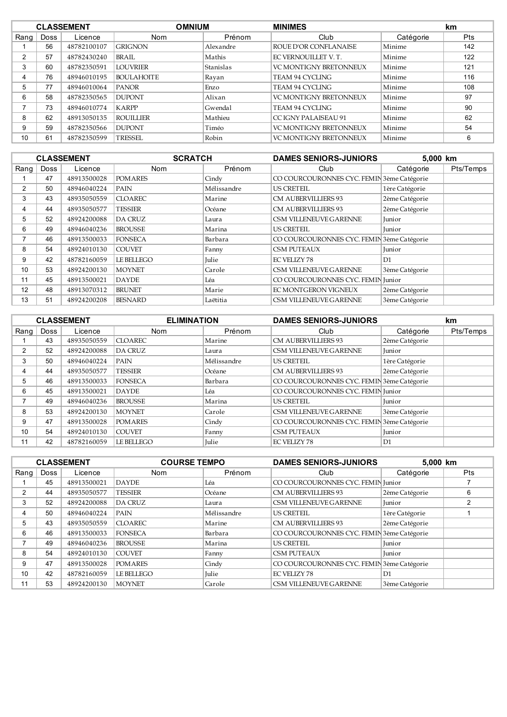|      | <b>CLASSEMENT</b> |             |                   | <b>OMNIUM</b><br><b>MINIMES</b> |                               | km        |            |
|------|-------------------|-------------|-------------------|---------------------------------|-------------------------------|-----------|------------|
| Rang | <b>Doss</b>       | Licence     | <b>Nom</b>        | Prénom                          | Club                          | Catégorie | <b>Pts</b> |
|      | 56                | 48782100107 | <b>GRIGNON</b>    | Alexandre                       | ROUE D'OR CONFLANAISE         | Minime    | 142        |
| 2    | 57                | 48782430240 | BRAIL             | Mathis                          | EC VERNOUILLET V. T.          | Minime    | 122        |
| 3    | 60                | 48782350591 | <b>LOUVRIER</b>   | Stanislas                       | <b>VC MONTIGNY BRETONNEUX</b> | Minime    | 121        |
|      | 76                | 48946010195 | <b>BOULAHOITE</b> | Rayan                           | TEAM 94 CYCLING               | Minime    | 116        |
| 5    | 77                | 48946010064 | <b>PANOR</b>      | Enzo                            | TEAM 94 CYCLING               | Minime    | 108        |
| 6    | 58                | 48782350565 | <b>DUPONT</b>     | Alixan                          | <b>VC MONTIGNY BRETONNEUX</b> | Minime    | 97         |
|      | 73                | 48946010774 | <b>KARPP</b>      | Gwendal                         | TEAM 94 CYCLING               | Minime    | 90         |
| 8    | 62                | 48913050135 | <b>ROUILLIER</b>  | Mathieu                         | CC IGNY PALAISEAU 91          | Minime    | 62         |
| 9    | 59                | 48782350566 | <b>DUPONT</b>     | Timéo                           | VC MONTIGNY BRETONNEUX        | Minime    | 54         |
| 10   | 61                | 48782350599 | TRESSEL           | Robin                           | <b>VC MONTIGNY BRETONNEUX</b> | Minime    | 6          |

|                |             | <b>CLASSEMENT</b> | <b>SCRATCH</b> |             | <b>DAMES SENIORS-JUNIORS</b>               | 5,000 km       |           |
|----------------|-------------|-------------------|----------------|-------------|--------------------------------------------|----------------|-----------|
| Rang           | <b>Doss</b> | Licence           | <b>Nom</b>     | Prénom      | Club                                       | Catégorie      | Pts/Temps |
|                | 47          | 48913500028       | <b>POMARES</b> | Cindy       | CO COURCOURONNES CYC. FEMIN 3ème Catégorie |                |           |
| $\overline{2}$ | 50          | 48946040224       | PAIN           | Mélissandre | US CRETEIL                                 | 1ère Catégorie |           |
| 3              | 43          | 48935050559       | <b>CLOAREC</b> | Marine      | CM AUBERVILLIERS 93                        | 2ème Catégorie |           |
| 4              | 44          | 48935050577       | TESSIER        | Océane      | CM AUBERVILLIERS 93                        | 2ème Catégorie |           |
| 5              | 52          | 48924200088       | <b>DA CRUZ</b> | Laura       | CSM VILLENEUVE GARENNE                     | Junior         |           |
| 6              | 49          | 48946040236       | <b>BROUSSE</b> | Marina      | US CRETEIL                                 | Junior         |           |
| 7              | 46          | 48913500033       | <b>FONSECA</b> | Barbara     | CO COURCOURONNES CYC. FEMIN 3ème Catégorie |                |           |
| 8              | 54          | 48924010130       | <b>COUVET</b>  | Fanny       | <b>CSM PUTEAUX</b>                         | Junior         |           |
| 9              | 42          | 48782160059       | LE BELLEGO     | Julie       | <b>EC VELIZY 78</b>                        | D1             |           |
| 10             | 53          | 48924200130       | <b>MOYNET</b>  | Carole      | CSM VILLENEUVE GARENNE                     | 3ème Catégorie |           |
| 11             | 45          | 48913500021       | <b>DAYDE</b>   | Léa         | CO COURCOURONNES CYC. FEMIN Junior         |                |           |
| 12             | 48          | 48913070312       | <b>BRUNET</b>  | Marie       | EC MONTGERON VIGNEUX                       | 2ème Catégorie |           |
| 13             | 51          | 48924200208       | <b>BESNARD</b> | Laëtitia    | CSM VILLENEUVE GARENNE                     | 3ème Catégorie |           |

|      | <b>CLASSEMENT</b> |             | <b>ELIMINATION</b> |              | <b>DAMES SENIORS-JUNIORS</b>               |                | km        |
|------|-------------------|-------------|--------------------|--------------|--------------------------------------------|----------------|-----------|
| Rang | Doss              | Licence     | Nom                | Prénom       | Club                                       | Catégorie      | Pts/Temps |
|      | 43                | 48935050559 | <b>CLOAREC</b>     | Marine       | <b>CM AUBERVILLIERS 93</b>                 | 2ème Catégorie |           |
| 2    | 52                | 48924200088 | <b>DA CRUZ</b>     | Laura        | CSM VILLENEUVE GARENNE                     | <b>Junior</b>  |           |
| 3    | 50                | 48946040224 | PAIN               | Mélissandre  | <b>US CRETEIL</b>                          | 1ère Catégorie |           |
| 4    | 44                | 48935050577 | <b>TESSIER</b>     | Océane       | <b>CM AUBERVILLIERS 93</b>                 | 2ème Catégorie |           |
| 5    | 46                | 48913500033 | <b>FONSECA</b>     | Barbara      | CO COURCOURONNES CYC. FEMIN 3ème Catégorie |                |           |
| 6    | 45                | 48913500021 | <b>DAYDE</b>       | Léa          | CO COURCOURONNES CYC. FEMIN Junior         |                |           |
| ⇁    | 49                | 48946040236 | <b>BROUSSE</b>     | Marina       | <b>US CRETEIL</b>                          | <b>Junior</b>  |           |
| 8    | 53                | 48924200130 | <b>MOYNET</b>      | Carole       | CSM VILLENEUVE GARENNE                     | 3ème Catégorie |           |
| 9    | 47                | 48913500028 | <b>POMARES</b>     | Cindy        | CO COURCOURONNES CYC. FEMIN 3ème Catégorie |                |           |
| 10   | 54                | 48924010130 | <b>COUVET</b>      | Fanny        | <b>CSM PUTEAUX</b>                         | Junior         |           |
| 11   | 42                | 48782160059 | LE BELLEGO         | <b>Julie</b> | <b>EC VELIZY 78</b>                        | D <sub>1</sub> |           |

|      |             | <b>CLASSEMENT</b> | <b>COURSE TEMPO</b> |             | <b>DAMES SENIORS-JUNIORS</b>               |                | 5,000 km   |  |
|------|-------------|-------------------|---------------------|-------------|--------------------------------------------|----------------|------------|--|
| Rang | <b>Doss</b> | Licence           | <b>Nom</b>          | Prénom      | Club                                       | Catégorie      | <b>Pts</b> |  |
|      | 45          | 48913500021       | <b>DAYDE</b>        | Léa         | CO COURCOURONNES CYC. FEMIN Junior         |                |            |  |
| 2    | 44          | 48935050577       | <b>TESSIER</b>      | Océane      | CM AUBERVILLIERS 93                        | 2ème Catégorie | 6          |  |
| 3    | 52          | 48924200088       | <b>DA CRUZ</b>      | Laura       | CSM VILLENEUVE GARENNE                     | Junior         |            |  |
| 4    | 50          | 48946040224       | PAIN                | Mélissandre | <b>US CRETEIL</b>                          | 1ère Catégorie |            |  |
| 5    | 43          | 48935050559       | <b>CLOAREC</b>      | Marine      | <b>CM AUBERVILLIERS 93</b>                 | 2ème Catégorie |            |  |
| 6    | 46          | 48913500033       | <b>FONSECA</b>      | Barbara     | CO COURCOURONNES CYC. FEMIN 3ème Catégorie |                |            |  |
| ⇁    | 49          | 48946040236       | <b>BROUSSE</b>      | Marina      | <b>US CRETEIL</b>                          | Junior         |            |  |
| 8    | 54          | 48924010130       | <b>COUVET</b>       | Fanny       | <b>CSM PUTEAUX</b>                         | Junior         |            |  |
| 9    | 47          | 48913500028       | <b>POMARES</b>      | Cindy       | CO COURCOURONNES CYC. FEMIN 3ème Catégorie |                |            |  |
| 10   | 42          | 48782160059       | LE BELLEGO          | Julie       | <b>EC VELIZY 78</b>                        | D1             |            |  |
| 11   | 53          | 48924200130       | <b>MOYNET</b>       | Carole      | CSM VILLENEUVE GARENNE                     | 3ème Catégorie |            |  |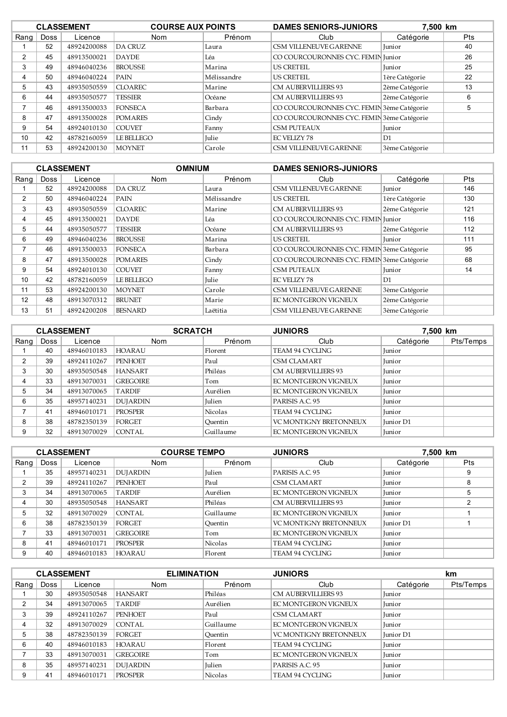|      |      | <b>CLASSEMENT</b> | <b>COURSE AUX POINTS</b> |             | <b>DAMES SENIORS-JUNIORS</b>               | 7,500 km       |            |
|------|------|-------------------|--------------------------|-------------|--------------------------------------------|----------------|------------|
| Rang | Doss | Licence           | <b>Nom</b>               | Prénom      | Club                                       | Catégorie      | <b>Pts</b> |
|      | 52   | 48924200088       | <b>DA CRUZ</b>           | Laura       | CSM VILLENEUVE GARENNE                     | <b>Junior</b>  | 40         |
| 2    | 45   | 48913500021       | <b>DAYDE</b>             | Léa         | CO COURCOURONNES CYC. FEMIN Junior         |                | 26         |
| 3    | 49   | 48946040236       | <b>BROUSSE</b>           | Marina      | <b>US CRETEIL</b>                          | Junior         | 25         |
| 4    | 50   | 48946040224       | PAIN                     | Mélissandre | <b>US CRETEIL</b>                          | 1ère Catégorie | 22         |
| 5    | 43   | 48935050559       | <b>CLOAREC</b>           | Marine      | <b>CM AUBERVILLIERS 93</b>                 | 2ème Catégorie | 13         |
| 6    | 44   | 48935050577       | <b>TESSIER</b>           | Océane      | <b>CM AUBERVILLIERS 93</b>                 | 2ème Catégorie | 6          |
|      | 46   | 48913500033       | <b>FONSECA</b>           | Barbara     | CO COURCOURONNES CYC. FEMIN 3ème Catégorie |                | 5          |
| 8    | 47   | 48913500028       | <b>POMARES</b>           | Cindy       | CO COURCOURONNES CYC. FEMIN 3ème Catégorie |                |            |
| 9    | 54   | 48924010130       | <b>COUVET</b>            | Fanny       | <b>CSM PUTEAUX</b>                         | <b>Iunior</b>  |            |
| 10   | 42   | 48782160059       | LE BELLEGO               | Julie       | <b>EC VELIZY 78</b>                        | D1             |            |
| 11   | 53   | 48924200130       | <b>MOYNET</b>            | Carole      | CSM VILLENEUVE GARENNE                     | 3ème Catégorie |            |

|                |             | <b>CLASSEMENT</b> |                | <b>DAMES SENIORS-JUNIORS</b><br><b>OMNIUM</b> |                                            |                |     |
|----------------|-------------|-------------------|----------------|-----------------------------------------------|--------------------------------------------|----------------|-----|
| Rang           | <b>Doss</b> | Licence           | <b>Nom</b>     | Prénom                                        | Club                                       | Catégorie      | Pts |
|                | 52          | 48924200088       | <b>DA CRUZ</b> | Laura                                         | CSM VILLENEUVE GARENNE                     | <b>Junior</b>  | 146 |
| 2              | 50          | 48946040224       | PAIN           | Mélissandre                                   | <b>US CRETEIL</b>                          | 1ère Catégorie | 130 |
| 3              | 43          | 48935050559       | <b>CLOAREC</b> | Marine                                        | CM AUBERVILLIERS 93                        | 2ème Catégorie | 121 |
| 4              | 45          | 48913500021       | <b>DAYDE</b>   | Léa                                           | CO COURCOURONNES CYC. FEMIN Junior         |                | 116 |
| 5              | 44          | 48935050577       | TESSIER        | Océane                                        | CM AUBERVILLIERS 93                        | 2ème Catégorie | 112 |
| 6              | 49          | 48946040236       | <b>BROUSSE</b> | Marina                                        | <b>US CRETEIL</b>                          | <b>Iunior</b>  | 111 |
| $\overline{ }$ | 46          | 48913500033       | <b>FONSECA</b> | Barbara                                       | CO COURCOURONNES CYC. FEMIN 3ème Catégorie |                | 95  |
| 8              | 47          | 48913500028       | <b>POMARES</b> | Cindy                                         | CO COURCOURONNES CYC. FEMIN 3ème Catégorie |                | 68  |
| 9              | 54          | 48924010130       | <b>COUVET</b>  | Fanny                                         | <b>CSM PUTEAUX</b>                         | <b>Junior</b>  | 14  |
| 10             | 42          | 48782160059       | LE BELLEGO     | Julie                                         | <b>EC VELIZY 78</b>                        | D1             |     |
| 11             | 53          | 48924200130       | <b>MOYNET</b>  | Carole                                        | CSM VILLENEUVE GARENNE                     | 3ème Catégorie |     |
| 12             | 48          | 48913070312       | <b>BRUNET</b>  | Marie                                         | EC MONTGERON VIGNEUX                       | 2ème Catégorie |     |
| 13             | 51          | 48924200208       | <b>BESNARD</b> | Laëtitia                                      | CSM VILLENEUVE GARENNE                     | 3ème Catégorie |     |

|      | <b>CLASSEMENT</b> |             |                 | <b>SCRATCH</b><br><b>JUNIORS</b> |                               | 7.500 km      |           |
|------|-------------------|-------------|-----------------|----------------------------------|-------------------------------|---------------|-----------|
| Rang | Doss              | Licence     | <b>Nom</b>      | Prénom                           | Club                          | Catégorie     | Pts/Temps |
|      | 40                | 48946010183 | <b>HOARAU</b>   | Florent                          | TEAM 94 CYCLING               | <b>Iunior</b> |           |
| 2    | 39                | 48924110267 | <b>PENHOET</b>  | Paul                             | CSM CLAMART                   | <b>Junior</b> |           |
| 3    | 30                | 48935050548 | <b>HANSART</b>  | Philéas                          | <b>CM AUBERVILLIERS 93</b>    | Junior        |           |
| 4    | 33                | 48913070031 | <b>GREGOIRE</b> | Tom                              | EC MONTGERON VIGNEUX          | Junior        |           |
| 5    | 34                | 48913070065 | <b>TARDIF</b>   | Aurélien                         | EC MONTGERON VIGNEUX          | <b>Junior</b> |           |
| 6    | 35                | 48957140231 | <b>DUJARDIN</b> | Julien                           | PARISIS A.C. 95               | <b>Junior</b> |           |
|      | 41                | 48946010171 | <b>PROSPER</b>  | Nicolas                          | TEAM 94 CYCLING               | <b>Junior</b> |           |
| 8    | 38                | 48782350139 | FORGET          | Ouentin                          | <b>VC MONTIGNY BRETONNEUX</b> | Junior D1     |           |
| 9    | 32                | 48913070029 | <b>CONTAL</b>   | Guillaume                        | EC MONTGERON VIGNEUX          | <b>Iunior</b> |           |

|      | <b>CLASSEMENT</b> |             | <b>COURSE TEMPO</b> |           | 7,500 km<br><b>JUNIORS</b>    |               |     |
|------|-------------------|-------------|---------------------|-----------|-------------------------------|---------------|-----|
| Rang | <b>Doss</b>       | Licence     | <b>Nom</b>          | Prénom    | Club                          | Catégorie     | Pts |
|      | 35                | 48957140231 | <b>DUJARDIN</b>     | Julien    | PARISIS A.C. 95               | <b>Iunior</b> |     |
| 2    | 39                | 48924110267 | <b>PENHOET</b>      | Paul      | CSM CLAMART                   | <b>Iunior</b> |     |
| 3    | 34                | 48913070065 | <b>TARDIF</b>       | Aurélien  | EC MONTGERON VIGNEUX          | <b>Iunior</b> | 5   |
|      | 30                | 48935050548 | <b>HANSART</b>      | Philéas   | <b>CM AUBERVILLIERS 93</b>    | <b>Iunior</b> |     |
| 5    | 32                | 48913070029 | CONTAL              | Guillaume | EC MONTGERON VIGNEUX          | <b>Iunior</b> |     |
| 6    | 38                | 48782350139 | FORGET              | Ouentin   | <b>VC MONTIGNY BRETONNEUX</b> | Junior D1     |     |
|      | 33                | 48913070031 | <b>GREGOIRE</b>     | Tom       | EC MONTGERON VIGNEUX          | <b>Iunior</b> |     |
| 8    | 41                | 48946010171 | <b>PROSPER</b>      | Nicolas   | <b>TEAM 94 CYCLING</b>        | <b>Iunior</b> |     |
| 9    | 40                | 48946010183 | <b>HOARAU</b>       | Florent   | TEAM 94 CYCLING               | <b>Iunior</b> |     |

|      |      | <b>CLASSEMENT</b> | <b>ELIMINATION</b> |               | <b>JUNIORS</b>                |               | km.       |
|------|------|-------------------|--------------------|---------------|-------------------------------|---------------|-----------|
| Rang | Doss | Licence           | <b>Nom</b>         | Prénom        | Club                          | Catégorie     | Pts/Temps |
|      | 30   | 48935050548       | <b>HANSART</b>     | Philéas       | <b>CM AUBERVILLIERS 93</b>    | Junior        |           |
| 2    | 34   | 48913070065       | <b>TARDIF</b>      | Aurélien      | EC MONTGERON VIGNEUX          | Junior        |           |
| 3    | 39   | 48924110267       | <b>PENHOET</b>     | Paul          | <b>CSM CLAMART</b>            | Junior        |           |
|      | 32   | 48913070029       | CONTAL             | Guillaume     | EC MONTGERON VIGNEUX          | Junior        |           |
| 5    | 38   | 48782350139       | FORGET             | Ouentin       | <b>VC MONTIGNY BRETONNEUX</b> | Junior D1     |           |
| 6    | 40   | 48946010183       | <b>HOARAU</b>      | Florent       | TEAM 94 CYCLING               | Junior        |           |
|      | 33   | 48913070031       | <b>GREGOIRE</b>    | Tom           | EC MONTGERON VIGNEUX          | Junior        |           |
| 8    | 35   | 48957140231       | <b>DUJARDIN</b>    | <b>Iulien</b> | PARISIS A.C. 95               | <b>Iunior</b> |           |
| 9    | 41   | 48946010171       | <b>PROSPER</b>     | Nicolas       | TEAM 94 CYCLING               | Junior        |           |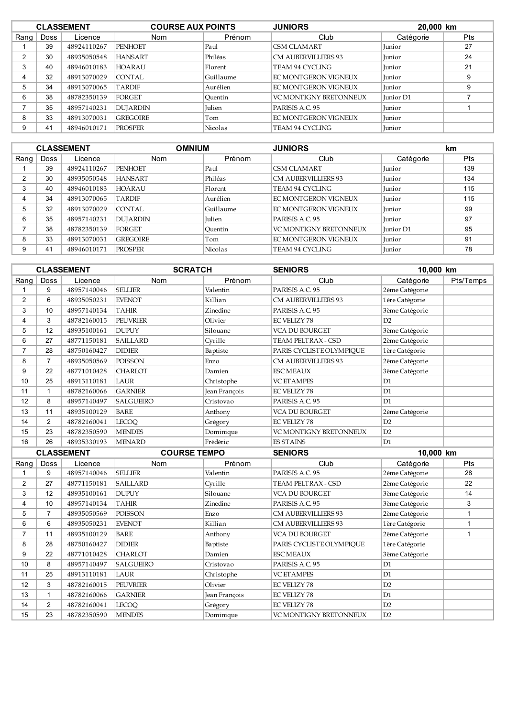|      |      | <b>CLASSEMENT</b> | <b>COURSE AUX POINTS</b> |                | <b>JUNIORS</b>             | 20,000 km     |            |
|------|------|-------------------|--------------------------|----------------|----------------------------|---------------|------------|
| Rang | Doss | Licence           | <b>Nom</b>               | Prénom         | Club                       | Catégorie     | <b>Pts</b> |
|      | 39   | 48924110267       | PENHOET                  | Paul           | CSM CLAMART                | <b>Iunior</b> | 27         |
| 2    | 30   | 48935050548       | <b>HANSART</b>           | Philéas        | <b>CM AUBERVILLIERS 93</b> | Junior        | 24         |
| 3    | 40   | 48946010183       | <b>HOARAU</b>            | Florent        | TEAM 94 CYCLING            | <b>Iunior</b> | 21         |
|      | 32   | 48913070029       | CONTAL                   | Guillaume      | EC MONTGERON VIGNEUX       | <b>Iunior</b> | 9          |
| 5    | 34   | 48913070065       | <b>TARDIF</b>            | Aurélien       | EC MONTGERON VIGNEUX       | <b>Iunior</b> | 9          |
| 6    | 38   | 48782350139       | FORGET                   | Ouentin        | VC MONTIGNY BRETONNEUX     | Junior D1     |            |
|      | 35   | 48957140231       | <b>DUJARDIN</b>          | Julien         | PARISIS A.C. 95            | Junior        |            |
| 8    | 33   | 48913070031       | <b>GREGOIRE</b>          | Tom            | EC MONTGERON VIGNEUX       | Junior        |            |
| 9    | 41   | 48946010171       | <b>PROSPER</b>           | <b>Nicolas</b> | TEAM 94 CYCLING            | <b>Iunior</b> |            |

|      | <b>CLASSEMENT</b> |             |                 | <b>OMNIUM</b><br><b>JUNIORS</b> |                               | km               |            |
|------|-------------------|-------------|-----------------|---------------------------------|-------------------------------|------------------|------------|
| Rang | <b>Doss</b>       | Licence     | <b>Nom</b>      | Prénom                          | Club                          | Catégorie        | <b>Pts</b> |
|      | 39                | 48924110267 | <b>PENHOET</b>  | Paul                            | CSM CLAMART                   | <b>Iunior</b>    | 139        |
| ◠    | 30                | 48935050548 | <b>HANSART</b>  | Philéas                         | <b>CM AUBERVILLIERS 93</b>    | <b>Iunior</b>    | 134        |
| 3    | 40                | 48946010183 | <b>HOARAU</b>   | Florent                         | <b>TEAM 94 CYCLING</b>        | <b>Iunior</b>    | 115        |
| 4    | 34                | 48913070065 | <b>TARDIF</b>   | Aurélien                        | EC MONTGERON VIGNEUX          | <b>Iunior</b>    | 115        |
| 5    | 32                | 48913070029 | CONTAL          | Guillaume                       | EC MONTGERON VIGNEUX          | Junior           | 99         |
| 6    | 35                | 48957140231 | <b>DUJARDIN</b> | <b>Julien</b>                   | PARISIS A.C. 95               | <b>Iunior</b>    | 97         |
|      | 38                | 48782350139 | FORGET          | Ouentin                         | <b>VC MONTIGNY BRETONNEUX</b> | <b>Iunior</b> D1 | 95         |
| 8    | 33                | 48913070031 | <b>GREGOIRE</b> | Tom                             | EC MONTGERON VIGNEUX          | Junior           | 91         |
| 9    | 41                | 48946010171 | <b>PROSPER</b>  | <b>Nicolas</b>                  | TEAM 94 CYCLING               | <b>Iunior</b>    | 78         |

|                |                | <b>CLASSEMENT</b> | <b>SCRATCH</b>      |               | <b>SENIORS</b>           | 10,000 km      |              |  |
|----------------|----------------|-------------------|---------------------|---------------|--------------------------|----------------|--------------|--|
| Rang           | Doss           | Licence           | Nom                 | Prénom        | Club                     | Catégorie      | Pts/Temps    |  |
| $\mathbf{1}$   | 9              | 48957140046       | <b>SELLIER</b>      | Valentin      | PARISIS A.C. 95          | 2ème Catégorie |              |  |
| 2              | 6              | 48935050231       | <b>EVENOT</b>       | Killian       | CM AUBERVILLIERS 93      | 1ère Catégorie |              |  |
| 3              | 10             | 48957140134       | TAHIR               | Zinedine      | PARISIS A.C. 95          | 3ème Catégorie |              |  |
| 4              | 3              | 48782160015       | PEUVRIER            | Olivier       | <b>EC VELIZY 78</b>      | D2             |              |  |
| 5              | 12             | 48935100161       | <b>DUPUY</b>        | Silouane      | VCA DU BOURGET           | 3ème Catégorie |              |  |
| 6              | 27             | 48771150181       | <b>SAILLARD</b>     | Cyrille       | TEAM PELTRAX - CSD       | 2ème Catégorie |              |  |
| $\overline{7}$ | 28             | 48750160427       | <b>DIDIER</b>       | Baptiste      | PARIS CYCLISTE OLYMPIQUE | 1ère Catégorie |              |  |
| 8              | $\overline{7}$ | 48935050569       | <b>POISSON</b>      | Enzo          | CM AUBERVILLIERS 93      | 2ème Catégorie |              |  |
| 9              | 22             | 48771010428       | <b>CHARLOT</b>      | Damien        | <b>ESC MEAUX</b>         | 3ème Catégorie |              |  |
| 10             | 25             | 48913110181       | LAUR                | Christophe    | <b>VC ET AMPES</b>       | D1             |              |  |
| 11             | $\mathbf{1}$   | 48782160066       | <b>GARNIER</b>      | Jean François | <b>EC VELIZY 78</b>      | D <sub>1</sub> |              |  |
| 12             | 8              | 48957140497       | <b>SALGUEIRO</b>    | Cristovao     | PARISIS A.C. 95          | D <sub>1</sub> |              |  |
| 13             | 11             | 48935100129       | <b>BARE</b>         | Anthony       | VCA DU BOURGET           | 2ème Catégorie |              |  |
| 14             | 2              | 48782160041       | <b>LECOO</b>        | Grégory       | <b>EC VELIZY 78</b>      | D2             |              |  |
| 15             | 23             | 48782350590       | <b>MENDES</b>       | Dominique     | VC MONTIGNY BRETONNEUX   | D2             |              |  |
| 16             | 26             | 48935330193       | <b>MENARD</b>       | Frédéric      | <b>ES STAINS</b>         | D1             |              |  |
|                |                | <b>CLASSEMENT</b> | <b>COURSE TEMPO</b> |               | <b>SENIORS</b>           | 10,000 km      |              |  |
| Rang           | Doss           | Licence           | Nom                 | Prénom        | Club                     | Catégorie      | Pts          |  |
| 1              | 9              | 48957140046       | <b>SELLIER</b>      | Valentin      | PARISIS A.C. 95          | 2ème Catégorie | 28           |  |
| $\overline{2}$ | 27             | 48771150181       | <b>SAILLARD</b>     | Cyrille       | TEAM PELTRAX - CSD       | 2ème Catégorie | 22           |  |
| 3              | 12             | 48935100161       | <b>DUPUY</b>        | Silouane      | VCA DU BOURGET           | 3ème Catégorie | 14           |  |
| $\overline{4}$ | 10             | 48957140134       | <b>TAHIR</b>        | Zinedine      | PARISIS A.C. 95          | 3ème Catégorie | 3            |  |
| 5              | $\overline{7}$ | 48935050569       | POISSON             | Enzo          | CM AUBERVILLIERS 93      | 2ème Catégorie | $\mathbf{1}$ |  |
| 6              | 6              | 48935050231       | <b>EVENOT</b>       | Killian       | CM AUBERVILLIERS 93      | 1ère Catégorie | $\mathbf{1}$ |  |
| $\overline{7}$ | 11             | 48935100129       | <b>BARE</b>         | Anthony       | VCA DU BOURGET           | 2ème Catégorie | $\mathbf{1}$ |  |
| 8              | 28             | 48750160427       | <b>DIDIER</b>       | Baptiste      | PARIS CYCLISTE OLYMPIQUE | 1ère Catégorie |              |  |
| 9              | 22             | 48771010428       | <b>CHARLOT</b>      | Damien        | <b>ESC MEAUX</b>         | 3ème Catégorie |              |  |
| 10             | 8              | 48957140497       | SALGUEIRO           | Cristovao     | PARISIS A.C. 95          | D1             |              |  |
| 11             | 25             | 48913110181       | LAUR                | Christophe    | <b>VC ET AMPES</b>       | D1             |              |  |
| 12             | 3              | 48782160015       | <b>PEUVRIER</b>     | Olivier       | <b>EC VELIZY 78</b>      | D2             |              |  |
| 13             | $\mathbf{1}$   | 48782160066       | <b>GARNIER</b>      | Jean François | EC VELIZY 78             | D1             |              |  |
| 14             | $\overline{2}$ | 48782160041       | <b>LECOQ</b>        | Grégory       | <b>EC VELIZY 78</b>      | D2             |              |  |
| 15             | 23             | 48782350590       | <b>MENDES</b>       | Dominique     | VC MONTIGNY BRETONNEUX   | D2             |              |  |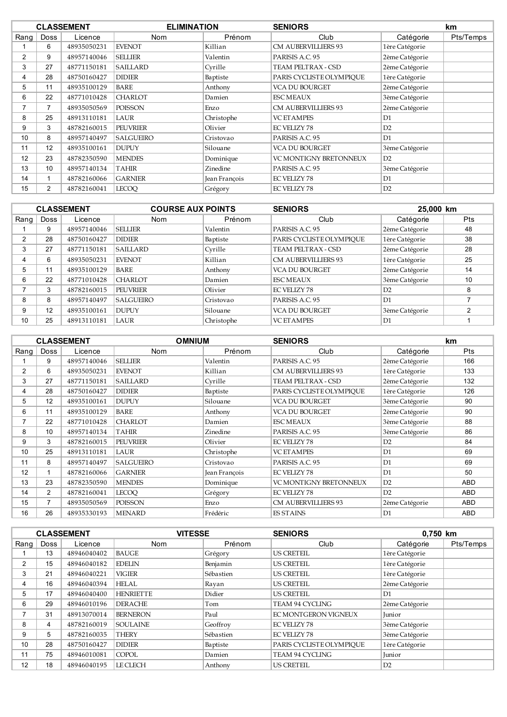|                |                 | <b>CLASSEMENT</b> | <b>ELIMINATION</b> |               | <b>SENIORS</b>           |                | km        |
|----------------|-----------------|-------------------|--------------------|---------------|--------------------------|----------------|-----------|
| Rang           | <b>Doss</b>     | Licence           | <b>Nom</b>         | Prénom        | Club                     | Catégorie      | Pts/Temps |
|                | 6               | 48935050231       | <b>EVENOT</b>      | Killian       | CM AUBERVILLIERS 93      | 1ère Catégorie |           |
| $\overline{2}$ | 9               | 48957140046       | <b>SELLIER</b>     | Valentin      | PARISIS A.C. 95          | 2ème Catégorie |           |
| 3              | 27              | 48771150181       | <b>SAILLARD</b>    | Cyrille       | TEAM PELTRAX - CSD       | 2ème Catégorie |           |
| 4              | 28              | 48750160427       | <b>DIDIER</b>      | Baptiste      | PARIS CYCLISTE OLYMPIOUE | 1ère Catégorie |           |
| 5              | 11              | 48935100129       | BARE               | Anthony       | VCA DU BOURGET           | 2ème Catégorie |           |
| 6              | 22              | 48771010428       | <b>CHARLOT</b>     | Damien        | <b>ESC MEAUX</b>         | 3ème Catégorie |           |
|                | $\overline{7}$  | 48935050569       | <b>POISSON</b>     | Enzo          | CM AUBERVILLIERS 93      | 2ème Catégorie |           |
| 8              | 25              | 48913110181       | LAUR               | Christophe    | <b>VC ET AMPES</b>       | D1             |           |
| 9              | 3               | 48782160015       | <b>PEUVRIER</b>    | Olivier       | <b>EC VELIZY 78</b>      | D2             |           |
| 10             | 8               | 48957140497       | SALGUEIRO          | Cristovao     | PARISIS A.C. 95          | D1             |           |
| 11             | 12              | 48935100161       | <b>DUPUY</b>       | Silouane      | VCA DU BOURGET           | 3ème Catégorie |           |
| 12             | 23              | 48782350590       | <b>MENDES</b>      | Dominique     | VC MONTIGNY BRETONNEUX   | D2             |           |
| 13             | 10 <sup>°</sup> | 48957140134       | <b>TAHIR</b>       | Zinedine      | PARISIS A.C. 95          | 3ème Catégorie |           |
| 14             |                 | 48782160066       | <b>GARNIER</b>     | Jean François | <b>EC VELIZY 78</b>      | D1             |           |
| 15             | $\overline{2}$  | 48782160041       | <b>LECOO</b>       | Grégory       | <b>EC VELIZY 78</b>      | D2             |           |

|          |             | <b>CLASSEMENT</b> | <b>COURSE AUX POINTS</b> |            | <b>SENIORS</b>             |                | 25,000 km  |  |
|----------|-------------|-------------------|--------------------------|------------|----------------------------|----------------|------------|--|
| Rang $ $ | <b>Doss</b> | Licence           | <b>Nom</b>               | Prénom     | Club                       | Catégorie      | <b>Pts</b> |  |
|          | 9           | 48957140046       | <b>SELLIER</b>           | Valentin   | PARISIS A.C. 95            | 2ème Catégorie | 48         |  |
| 2        | 28          | 48750160427       | <b>DIDIER</b>            | Baptiste   | PARIS CYCLISTE OLYMPIOUE   | 1ère Catégorie | 38         |  |
| 3        | 27          | 48771150181       | <b>SAILLARD</b>          | Cyrille    | TEAM PELTRAX - CSD         | 2ème Catégorie | 28         |  |
| 4        | 6           | 48935050231       | <b>EVENOT</b>            | Killian    | <b>CM AUBERVILLIERS 93</b> | 1ère Catégorie | 25         |  |
| 5        | 11          | 48935100129       | <b>BARE</b>              | Anthony    | <b>VCA DU BOURGET</b>      | 2ème Catégorie | 14         |  |
| 6        | 22          | 48771010428       | <b>CHARLOT</b>           | Damien     | <b>ESC MEAUX</b>           | 3ème Catégorie | 10         |  |
|          | 3           | 48782160015       | <b>PEUVRIER</b>          | Olivier    | <b>EC VELIZY 78</b>        | D2             | 8          |  |
| 8        | 8           | 48957140497       | <b>SALGUEIRO</b>         | Cristovao  | PARISIS A.C. 95            | D1             |            |  |
| 9        | 12          | 48935100161       | DUPUY                    | Silouane   | <b>VCA DU BOURGET</b>      | 3ème Catégorie |            |  |
| 10       | 25          | 48913110181       | LAUR                     | Christophe | <b>VC ET AMPES</b>         | D1             |            |  |

|                |                | <b>CLASSEMENT</b> | <b>OMNIUM</b>    |               | <b>SENIORS</b>             |                | km         |
|----------------|----------------|-------------------|------------------|---------------|----------------------------|----------------|------------|
| Rang           | <b>Doss</b>    | Licence           | <b>Nom</b>       | Prénom        | Club                       | Catégorie      | <b>Pts</b> |
|                | 9              | 48957140046       | <b>SELLIER</b>   | Valentin      | PARISIS A.C. 95            | 2ème Catégorie | 166        |
| $\overline{2}$ | 6              | 48935050231       | <b>EVENOT</b>    | Killian       | CM AUBERVILLIERS 93        | 1ère Catégorie | 133        |
| 3              | 27             | 48771150181       | <b>SAILLARD</b>  | Cyrille       | TEAM PELTRAX - CSD         | 2ème Catégorie | 132        |
| 4              | 28             | 48750160427       | <b>DIDIER</b>    | Baptiste      | PARIS CYCLISTE OLYMPIQUE   | 1ère Catégorie | 126        |
| 5              | 12             | 48935100161       | <b>DUPUY</b>     | Silouane      | VCA DU BOURGET             | 3ème Catégorie | 90         |
| 6              | 11             | 48935100129       | BARE             | Anthony       | VCA DU BOURGET             | 2ème Catégorie | 90         |
| 7              | 22             | 48771010428       | <b>CHARLOT</b>   | Damien        | <b>ESC MEAUX</b>           | 3ème Catégorie | 88         |
| 8              | 10             | 48957140134       | <b>TAHIR</b>     | Zinedine      | PARISIS A.C. 95            | 3ème Catégorie | 86         |
| 9              | 3              | 48782160015       | <b>PEUVRIER</b>  | Olivier       | <b>EC VELIZY 78</b>        | D2             | 84         |
| 10             | 25             | 48913110181       | LAUR             | Christophe    | <b>VC ETAMPES</b>          | D1             | 69         |
| 11             | 8              | 48957140497       | <b>SALGUEIRO</b> | Cristovao     | PARISIS A.C. 95            | D1             | 69         |
| 12             |                | 48782160066       | <b>GARNIER</b>   | Jean François | EC VELIZY 78               | D <sub>1</sub> | 50         |
| 13             | 23             | 48782350590       | <b>MENDES</b>    | Dominique     | VC MONTIGNY BRETONNEUX     | D2             | <b>ABD</b> |
| 14             | $\overline{2}$ | 48782160041       | LECOO            | Grégory       | <b>EC VELIZY 78</b>        | D2             | <b>ABD</b> |
| 15             | $\overline{7}$ | 48935050569       | <b>POISSON</b>   | Enzo          | <b>CM AUBERVILLIERS 93</b> | 2ème Catégorie | <b>ABD</b> |
| 16             | 26             | 48935330193       | <b>MENARD</b>    | Frédéric      | <b>ES STAINS</b>           | D1             | ABD        |

| <b>CLASSEMENT</b> |             |             | <b>VITESSE</b>   |           | <b>SENIORS</b>           |                | 0,750 km  |  |
|-------------------|-------------|-------------|------------------|-----------|--------------------------|----------------|-----------|--|
| Rang              | <b>Doss</b> | Licence     | <b>Nom</b>       | Prénom    | Club                     | Catégorie      | Pts/Temps |  |
|                   | 13          | 48946040402 | <b>BAUGE</b>     | Grégory   | <b>US CRETEIL</b>        | 1ère Catégorie |           |  |
| 2                 | 15          | 48946040182 | <b>EDELIN</b>    | Benjamin  | <b>US CRETEIL</b>        | 1ère Catégorie |           |  |
| 3                 | 21          | 48946040221 | VIGIER           | Sébastien | <b>US CRETEIL</b>        | 1ère Catégorie |           |  |
| 4                 | 16          | 48946040394 | HELAL            | Rayan     | <b>US CRETEIL</b>        | 2ème Catégorie |           |  |
| 5                 | 17          | 48946040400 | <b>HENRIETTE</b> | Didier    | <b>US CRETEIL</b>        | D1             |           |  |
| 6                 | 29          | 48946010196 | <b>DERACHE</b>   | Tom       | TEAM 94 CYCLING          | 2ème Catégorie |           |  |
| $\overline{ }$    | 31          | 48913070014 | <b>BERNERON</b>  | Paul      | EC MONTGERON VIGNEUX     | <b>Junior</b>  |           |  |
| 8                 | 4           | 48782160019 | <b>SOULAINE</b>  | Geoffroy  | <b>EC VELIZY 78</b>      | 3ème Catégorie |           |  |
| 9                 | 5           | 48782160035 | <b>THERY</b>     | Sébastien | <b>EC VELIZY 78</b>      | 3ème Catégorie |           |  |
| 10                | 28          | 48750160427 | <b>DIDIER</b>    | Baptiste  | PARIS CYCLISTE OLYMPIOUE | 1ère Catégorie |           |  |
| 11                | 75          | 48946010081 | <b>COPOL</b>     | Damien    | <b>TEAM 94 CYCLING</b>   | Junior         |           |  |
| 12                | 18          | 48946040195 | LE CLECH         | Anthony   | <b>US CRETEIL</b>        | D2             |           |  |